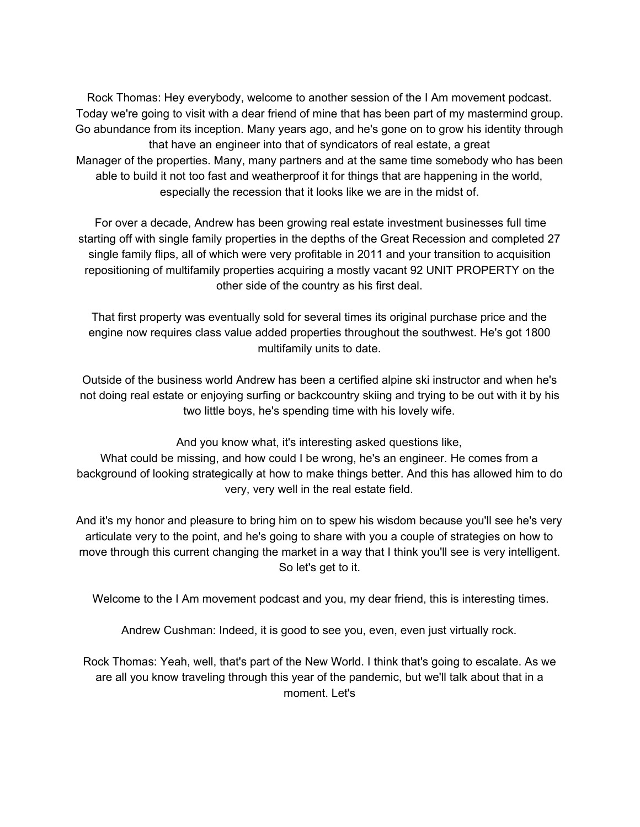Rock Thomas: Hey everybody, welcome to another session of the I Am movement podcast. Today we're going to visit with a dear friend of mine that has been part of my mastermind group. Go abundance from its inception. Many years ago, and he's gone on to grow his identity through that have an engineer into that of syndicators of real estate, a great Manager of the properties. Many, many partners and at the same time somebody who has been able to build it not too fast and weatherproof it for things that are happening in the world, especially the recession that it looks like we are in the midst of.

For over a decade, Andrew has been growing real estate investment businesses full time starting off with single family properties in the depths of the Great Recession and completed 27 single family flips, all of which were very profitable in 2011 and your transition to acquisition repositioning of multifamily properties acquiring a mostly vacant 92 UNIT PROPERTY on the other side of the country as his first deal.

That first property was eventually sold for several times its original purchase price and the engine now requires class value added properties throughout the southwest. He's got 1800 multifamily units to date.

Outside of the business world Andrew has been a certified alpine ski instructor and when he's not doing real estate or enjoying surfing or backcountry skiing and trying to be out with it by his two little boys, he's spending time with his lovely wife.

And you know what, it's interesting asked questions like,

What could be missing, and how could I be wrong, he's an engineer. He comes from a background of looking strategically at how to make things better. And this has allowed him to do very, very well in the real estate field.

And it's my honor and pleasure to bring him on to spew his wisdom because you'll see he's very articulate very to the point, and he's going to share with you a couple of strategies on how to move through this current changing the market in a way that I think you'll see is very intelligent. So let's get to it.

Welcome to the I Am movement podcast and you, my dear friend, this is interesting times.

Andrew Cushman: Indeed, it is good to see you, even, even just virtually rock.

Rock Thomas: Yeah, well, that's part of the New World. I think that's going to escalate. As we are all you know traveling through this year of the pandemic, but we'll talk about that in a moment. Let's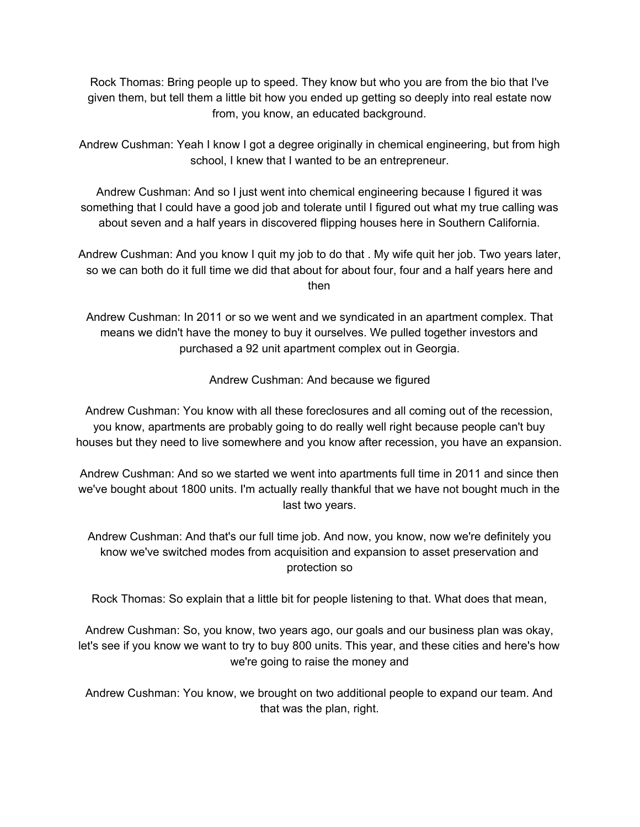Rock Thomas: Bring people up to speed. They know but who you are from the bio that I've given them, but tell them a little bit how you ended up getting so deeply into real estate now from, you know, an educated background.

Andrew Cushman: Yeah I know I got a degree originally in chemical engineering, but from high school, I knew that I wanted to be an entrepreneur.

Andrew Cushman: And so I just went into chemical engineering because I figured it was something that I could have a good job and tolerate until I figured out what my true calling was about seven and a half years in discovered flipping houses here in Southern California.

Andrew Cushman: And you know I quit my job to do that . My wife quit her job. Two years later, so we can both do it full time we did that about for about four, four and a half years here and then

Andrew Cushman: In 2011 or so we went and we syndicated in an apartment complex. That means we didn't have the money to buy it ourselves. We pulled together investors and purchased a 92 unit apartment complex out in Georgia.

Andrew Cushman: And because we figured

Andrew Cushman: You know with all these foreclosures and all coming out of the recession, you know, apartments are probably going to do really well right because people can't buy houses but they need to live somewhere and you know after recession, you have an expansion.

Andrew Cushman: And so we started we went into apartments full time in 2011 and since then we've bought about 1800 units. I'm actually really thankful that we have not bought much in the last two years.

Andrew Cushman: And that's our full time job. And now, you know, now we're definitely you know we've switched modes from acquisition and expansion to asset preservation and protection so

Rock Thomas: So explain that a little bit for people listening to that. What does that mean,

Andrew Cushman: So, you know, two years ago, our goals and our business plan was okay, let's see if you know we want to try to buy 800 units. This year, and these cities and here's how we're going to raise the money and

Andrew Cushman: You know, we brought on two additional people to expand our team. And that was the plan, right.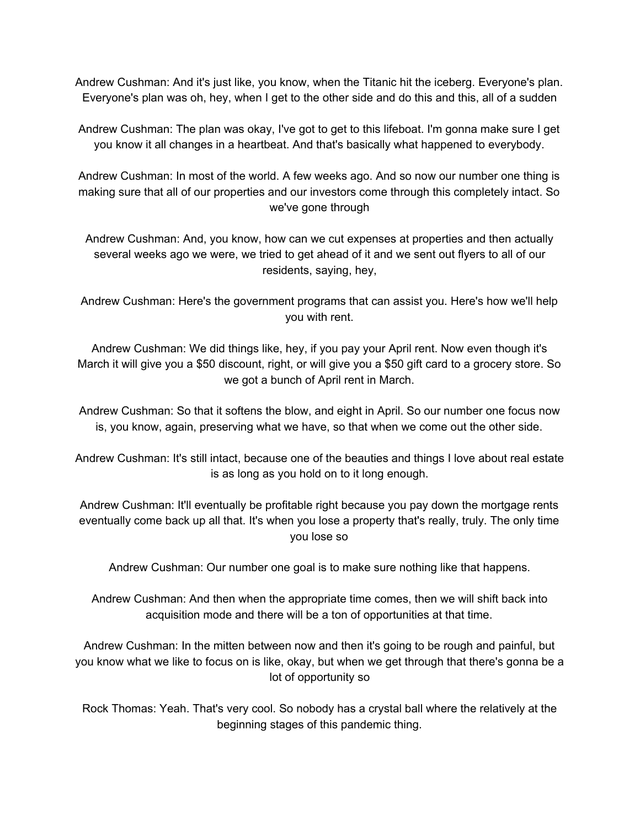Andrew Cushman: And it's just like, you know, when the Titanic hit the iceberg. Everyone's plan. Everyone's plan was oh, hey, when I get to the other side and do this and this, all of a sudden

Andrew Cushman: The plan was okay, I've got to get to this lifeboat. I'm gonna make sure I get you know it all changes in a heartbeat. And that's basically what happened to everybody.

Andrew Cushman: In most of the world. A few weeks ago. And so now our number one thing is making sure that all of our properties and our investors come through this completely intact. So we've gone through

Andrew Cushman: And, you know, how can we cut expenses at properties and then actually several weeks ago we were, we tried to get ahead of it and we sent out flyers to all of our residents, saying, hey,

Andrew Cushman: Here's the government programs that can assist you. Here's how we'll help you with rent.

Andrew Cushman: We did things like, hey, if you pay your April rent. Now even though it's March it will give you a \$50 discount, right, or will give you a \$50 gift card to a grocery store. So we got a bunch of April rent in March.

Andrew Cushman: So that it softens the blow, and eight in April. So our number one focus now is, you know, again, preserving what we have, so that when we come out the other side.

Andrew Cushman: It's still intact, because one of the beauties and things I love about real estate is as long as you hold on to it long enough.

Andrew Cushman: It'll eventually be profitable right because you pay down the mortgage rents eventually come back up all that. It's when you lose a property that's really, truly. The only time you lose so

Andrew Cushman: Our number one goal is to make sure nothing like that happens.

Andrew Cushman: And then when the appropriate time comes, then we will shift back into acquisition mode and there will be a ton of opportunities at that time.

Andrew Cushman: In the mitten between now and then it's going to be rough and painful, but you know what we like to focus on is like, okay, but when we get through that there's gonna be a lot of opportunity so

Rock Thomas: Yeah. That's very cool. So nobody has a crystal ball where the relatively at the beginning stages of this pandemic thing.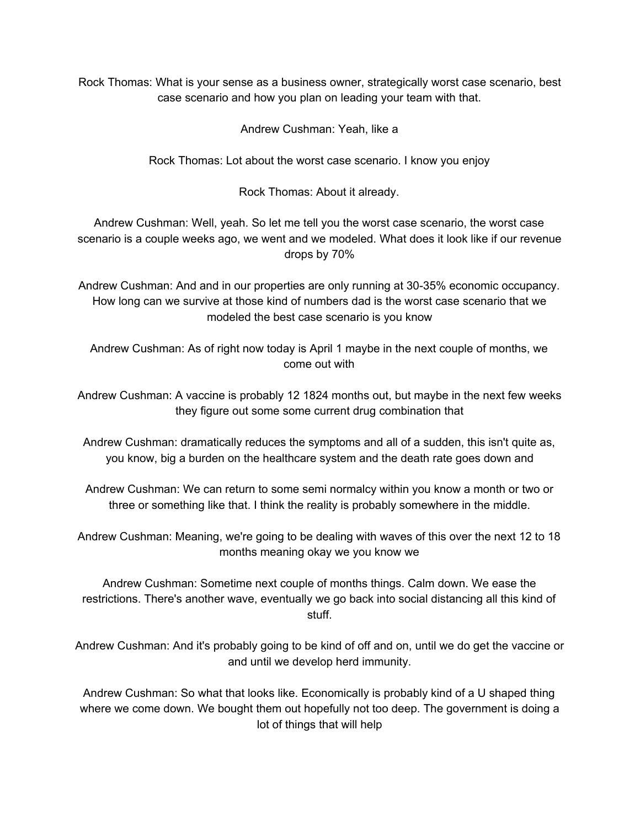Rock Thomas: What is your sense as a business owner, strategically worst case scenario, best case scenario and how you plan on leading your team with that.

Andrew Cushman: Yeah, like a

Rock Thomas: Lot about the worst case scenario. I know you enjoy

Rock Thomas: About it already.

Andrew Cushman: Well, yeah. So let me tell you the worst case scenario, the worst case scenario is a couple weeks ago, we went and we modeled. What does it look like if our revenue drops by 70%

Andrew Cushman: And and in our properties are only running at 30-35% economic occupancy. How long can we survive at those kind of numbers dad is the worst case scenario that we modeled the best case scenario is you know

Andrew Cushman: As of right now today is April 1 maybe in the next couple of months, we come out with

Andrew Cushman: A vaccine is probably 12 1824 months out, but maybe in the next few weeks they figure out some some current drug combination that

Andrew Cushman: dramatically reduces the symptoms and all of a sudden, this isn't quite as, you know, big a burden on the healthcare system and the death rate goes down and

Andrew Cushman: We can return to some semi normalcy within you know a month or two or three or something like that. I think the reality is probably somewhere in the middle.

Andrew Cushman: Meaning, we're going to be dealing with waves of this over the next 12 to 18 months meaning okay we you know we

Andrew Cushman: Sometime next couple of months things. Calm down. We ease the restrictions. There's another wave, eventually we go back into social distancing all this kind of stuff.

Andrew Cushman: And it's probably going to be kind of off and on, until we do get the vaccine or and until we develop herd immunity.

Andrew Cushman: So what that looks like. Economically is probably kind of a U shaped thing where we come down. We bought them out hopefully not too deep. The government is doing a lot of things that will help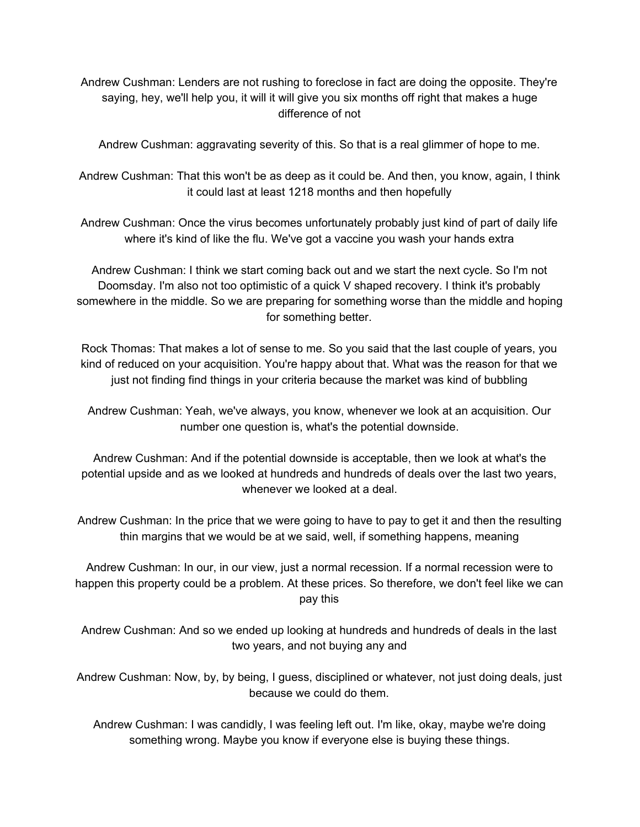Andrew Cushman: Lenders are not rushing to foreclose in fact are doing the opposite. They're saying, hey, we'll help you, it will it will give you six months off right that makes a huge difference of not

Andrew Cushman: aggravating severity of this. So that is a real glimmer of hope to me.

Andrew Cushman: That this won't be as deep as it could be. And then, you know, again, I think it could last at least 1218 months and then hopefully

Andrew Cushman: Once the virus becomes unfortunately probably just kind of part of daily life where it's kind of like the flu. We've got a vaccine you wash your hands extra

Andrew Cushman: I think we start coming back out and we start the next cycle. So I'm not Doomsday. I'm also not too optimistic of a quick V shaped recovery. I think it's probably somewhere in the middle. So we are preparing for something worse than the middle and hoping for something better.

Rock Thomas: That makes a lot of sense to me. So you said that the last couple of years, you kind of reduced on your acquisition. You're happy about that. What was the reason for that we just not finding find things in your criteria because the market was kind of bubbling

Andrew Cushman: Yeah, we've always, you know, whenever we look at an acquisition. Our number one question is, what's the potential downside.

Andrew Cushman: And if the potential downside is acceptable, then we look at what's the potential upside and as we looked at hundreds and hundreds of deals over the last two years, whenever we looked at a deal.

Andrew Cushman: In the price that we were going to have to pay to get it and then the resulting thin margins that we would be at we said, well, if something happens, meaning

Andrew Cushman: In our, in our view, just a normal recession. If a normal recession were to happen this property could be a problem. At these prices. So therefore, we don't feel like we can pay this

Andrew Cushman: And so we ended up looking at hundreds and hundreds of deals in the last two years, and not buying any and

Andrew Cushman: Now, by, by being, I guess, disciplined or whatever, not just doing deals, just because we could do them.

Andrew Cushman: I was candidly, I was feeling left out. I'm like, okay, maybe we're doing something wrong. Maybe you know if everyone else is buying these things.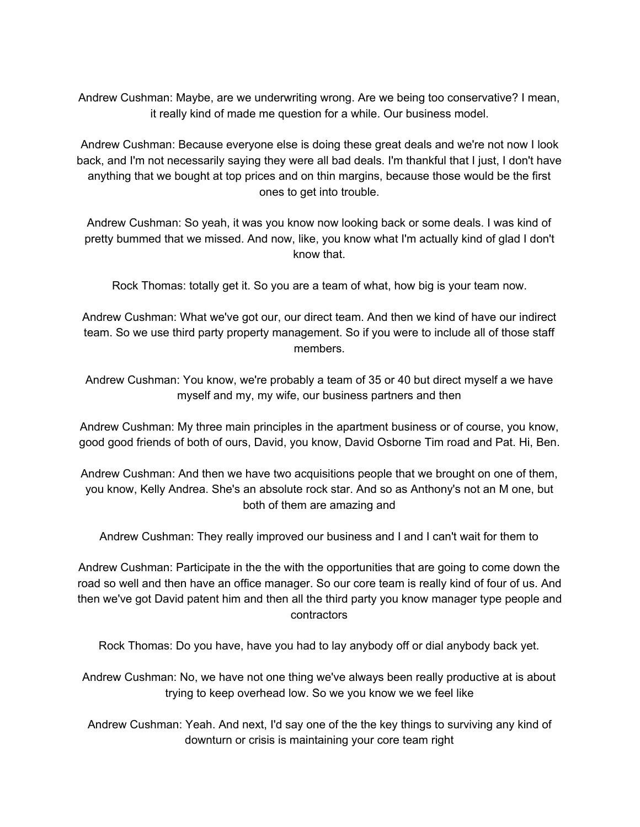Andrew Cushman: Maybe, are we underwriting wrong. Are we being too conservative? I mean, it really kind of made me question for a while. Our business model.

Andrew Cushman: Because everyone else is doing these great deals and we're not now I look back, and I'm not necessarily saying they were all bad deals. I'm thankful that I just, I don't have anything that we bought at top prices and on thin margins, because those would be the first ones to get into trouble.

Andrew Cushman: So yeah, it was you know now looking back or some deals. I was kind of pretty bummed that we missed. And now, like, you know what I'm actually kind of glad I don't know that.

Rock Thomas: totally get it. So you are a team of what, how big is your team now.

Andrew Cushman: What we've got our, our direct team. And then we kind of have our indirect team. So we use third party property management. So if you were to include all of those staff members.

Andrew Cushman: You know, we're probably a team of 35 or 40 but direct myself a we have myself and my, my wife, our business partners and then

Andrew Cushman: My three main principles in the apartment business or of course, you know, good good friends of both of ours, David, you know, David Osborne Tim road and Pat. Hi, Ben.

Andrew Cushman: And then we have two acquisitions people that we brought on one of them, you know, Kelly Andrea. She's an absolute rock star. And so as Anthony's not an M one, but both of them are amazing and

Andrew Cushman: They really improved our business and I and I can't wait for them to

Andrew Cushman: Participate in the the with the opportunities that are going to come down the road so well and then have an office manager. So our core team is really kind of four of us. And then we've got David patent him and then all the third party you know manager type people and contractors

Rock Thomas: Do you have, have you had to lay anybody off or dial anybody back yet.

Andrew Cushman: No, we have not one thing we've always been really productive at is about trying to keep overhead low. So we you know we we feel like

Andrew Cushman: Yeah. And next, I'd say one of the the key things to surviving any kind of downturn or crisis is maintaining your core team right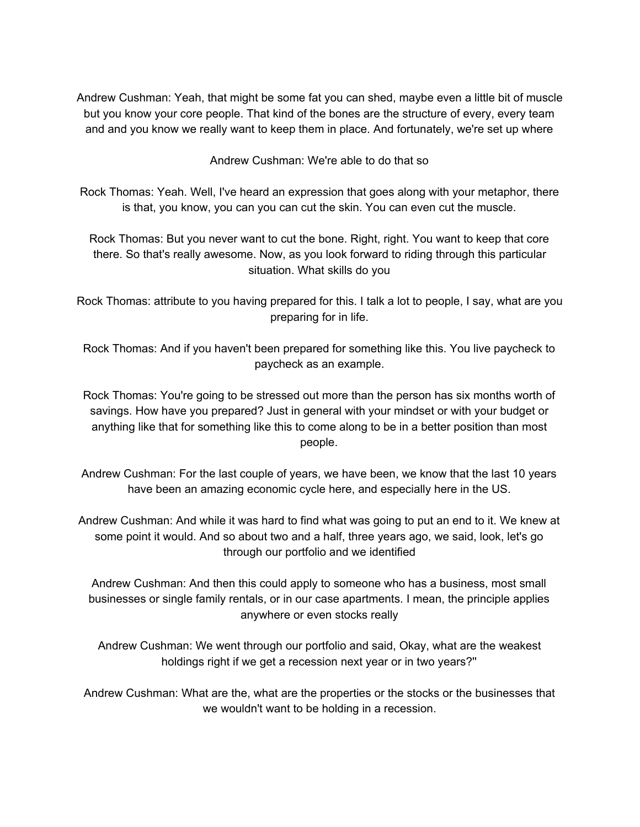Andrew Cushman: Yeah, that might be some fat you can shed, maybe even a little bit of muscle but you know your core people. That kind of the bones are the structure of every, every team and and you know we really want to keep them in place. And fortunately, we're set up where

Andrew Cushman: We're able to do that so

Rock Thomas: Yeah. Well, I've heard an expression that goes along with your metaphor, there is that, you know, you can you can cut the skin. You can even cut the muscle.

Rock Thomas: But you never want to cut the bone. Right, right. You want to keep that core there. So that's really awesome. Now, as you look forward to riding through this particular situation. What skills do you

Rock Thomas: attribute to you having prepared for this. I talk a lot to people, I say, what are you preparing for in life.

Rock Thomas: And if you haven't been prepared for something like this. You live paycheck to paycheck as an example.

- Rock Thomas: You're going to be stressed out more than the person has six months worth of savings. How have you prepared? Just in general with your mindset or with your budget or anything like that for something like this to come along to be in a better position than most people.
- Andrew Cushman: For the last couple of years, we have been, we know that the last 10 years have been an amazing economic cycle here, and especially here in the US.
- Andrew Cushman: And while it was hard to find what was going to put an end to it. We knew at some point it would. And so about two and a half, three years ago, we said, look, let's go through our portfolio and we identified

Andrew Cushman: And then this could apply to someone who has a business, most small businesses or single family rentals, or in our case apartments. I mean, the principle applies anywhere or even stocks really

Andrew Cushman: We went through our portfolio and said, Okay, what are the weakest holdings right if we get a recession next year or in two years?''

Andrew Cushman: What are the, what are the properties or the stocks or the businesses that we wouldn't want to be holding in a recession.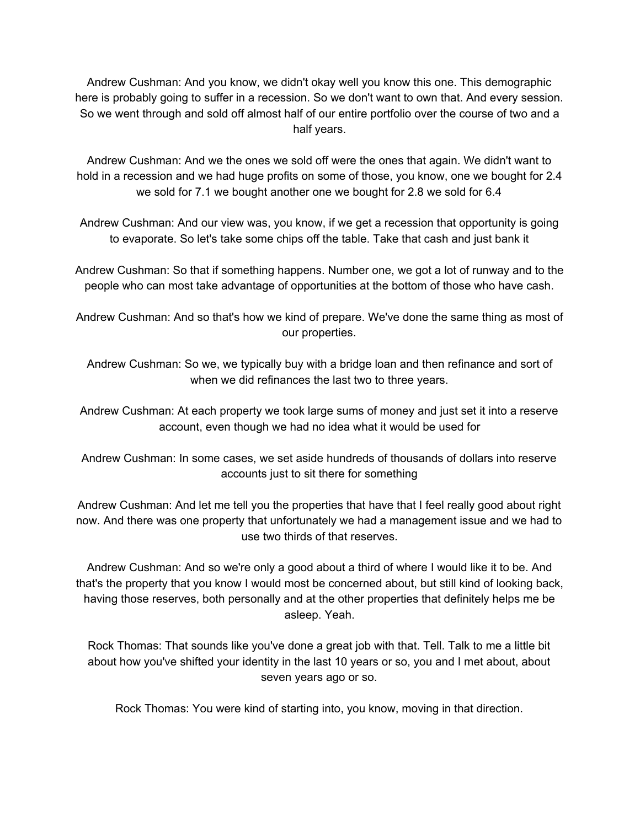Andrew Cushman: And you know, we didn't okay well you know this one. This demographic here is probably going to suffer in a recession. So we don't want to own that. And every session. So we went through and sold off almost half of our entire portfolio over the course of two and a half years.

Andrew Cushman: And we the ones we sold off were the ones that again. We didn't want to hold in a recession and we had huge profits on some of those, you know, one we bought for 2.4 we sold for 7.1 we bought another one we bought for 2.8 we sold for 6.4

Andrew Cushman: And our view was, you know, if we get a recession that opportunity is going to evaporate. So let's take some chips off the table. Take that cash and just bank it

Andrew Cushman: So that if something happens. Number one, we got a lot of runway and to the people who can most take advantage of opportunities at the bottom of those who have cash.

Andrew Cushman: And so that's how we kind of prepare. We've done the same thing as most of our properties.

Andrew Cushman: So we, we typically buy with a bridge loan and then refinance and sort of when we did refinances the last two to three years.

Andrew Cushman: At each property we took large sums of money and just set it into a reserve account, even though we had no idea what it would be used for

Andrew Cushman: In some cases, we set aside hundreds of thousands of dollars into reserve accounts just to sit there for something

Andrew Cushman: And let me tell you the properties that have that I feel really good about right now. And there was one property that unfortunately we had a management issue and we had to use two thirds of that reserves.

Andrew Cushman: And so we're only a good about a third of where I would like it to be. And that's the property that you know I would most be concerned about, but still kind of looking back, having those reserves, both personally and at the other properties that definitely helps me be asleep. Yeah.

Rock Thomas: That sounds like you've done a great job with that. Tell. Talk to me a little bit about how you've shifted your identity in the last 10 years or so, you and I met about, about seven years ago or so.

Rock Thomas: You were kind of starting into, you know, moving in that direction.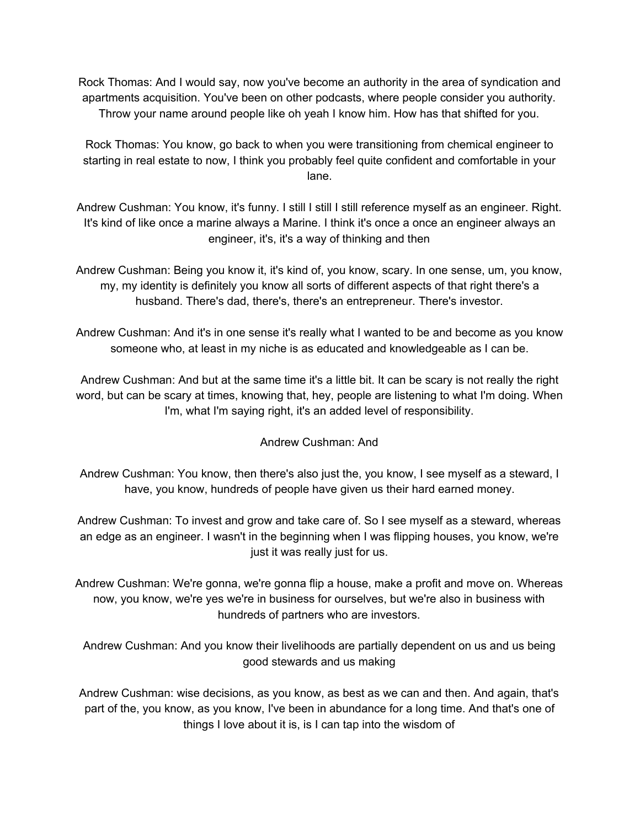Rock Thomas: And I would say, now you've become an authority in the area of syndication and apartments acquisition. You've been on other podcasts, where people consider you authority. Throw your name around people like oh yeah I know him. How has that shifted for you.

Rock Thomas: You know, go back to when you were transitioning from chemical engineer to starting in real estate to now, I think you probably feel quite confident and comfortable in your lane.

Andrew Cushman: You know, it's funny. I still I still I still reference myself as an engineer. Right. It's kind of like once a marine always a Marine. I think it's once a once an engineer always an engineer, it's, it's a way of thinking and then

Andrew Cushman: Being you know it, it's kind of, you know, scary. In one sense, um, you know, my, my identity is definitely you know all sorts of different aspects of that right there's a husband. There's dad, there's, there's an entrepreneur. There's investor.

Andrew Cushman: And it's in one sense it's really what I wanted to be and become as you know someone who, at least in my niche is as educated and knowledgeable as I can be.

Andrew Cushman: And but at the same time it's a little bit. It can be scary is not really the right word, but can be scary at times, knowing that, hey, people are listening to what I'm doing. When I'm, what I'm saying right, it's an added level of responsibility.

Andrew Cushman: And

Andrew Cushman: You know, then there's also just the, you know, I see myself as a steward, I have, you know, hundreds of people have given us their hard earned money.

Andrew Cushman: To invest and grow and take care of. So I see myself as a steward, whereas an edge as an engineer. I wasn't in the beginning when I was flipping houses, you know, we're just it was really just for us.

Andrew Cushman: We're gonna, we're gonna flip a house, make a profit and move on. Whereas now, you know, we're yes we're in business for ourselves, but we're also in business with hundreds of partners who are investors.

Andrew Cushman: And you know their livelihoods are partially dependent on us and us being good stewards and us making

Andrew Cushman: wise decisions, as you know, as best as we can and then. And again, that's part of the, you know, as you know, I've been in abundance for a long time. And that's one of things I love about it is, is I can tap into the wisdom of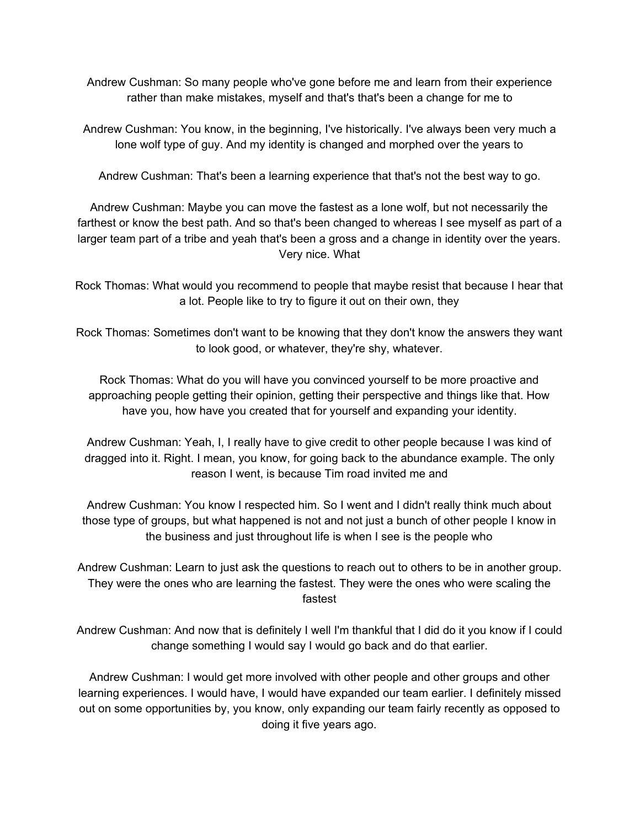Andrew Cushman: So many people who've gone before me and learn from their experience rather than make mistakes, myself and that's that's been a change for me to

Andrew Cushman: You know, in the beginning, I've historically. I've always been very much a lone wolf type of guy. And my identity is changed and morphed over the years to

Andrew Cushman: That's been a learning experience that that's not the best way to go.

Andrew Cushman: Maybe you can move the fastest as a lone wolf, but not necessarily the farthest or know the best path. And so that's been changed to whereas I see myself as part of a larger team part of a tribe and yeah that's been a gross and a change in identity over the years. Very nice. What

Rock Thomas: What would you recommend to people that maybe resist that because I hear that a lot. People like to try to figure it out on their own, they

Rock Thomas: Sometimes don't want to be knowing that they don't know the answers they want to look good, or whatever, they're shy, whatever.

Rock Thomas: What do you will have you convinced yourself to be more proactive and approaching people getting their opinion, getting their perspective and things like that. How have you, how have you created that for yourself and expanding your identity.

Andrew Cushman: Yeah, I, I really have to give credit to other people because I was kind of dragged into it. Right. I mean, you know, for going back to the abundance example. The only reason I went, is because Tim road invited me and

Andrew Cushman: You know I respected him. So I went and I didn't really think much about those type of groups, but what happened is not and not just a bunch of other people I know in the business and just throughout life is when I see is the people who

Andrew Cushman: Learn to just ask the questions to reach out to others to be in another group. They were the ones who are learning the fastest. They were the ones who were scaling the fastest

Andrew Cushman: And now that is definitely I well I'm thankful that I did do it you know if I could change something I would say I would go back and do that earlier.

Andrew Cushman: I would get more involved with other people and other groups and other learning experiences. I would have, I would have expanded our team earlier. I definitely missed out on some opportunities by, you know, only expanding our team fairly recently as opposed to doing it five years ago.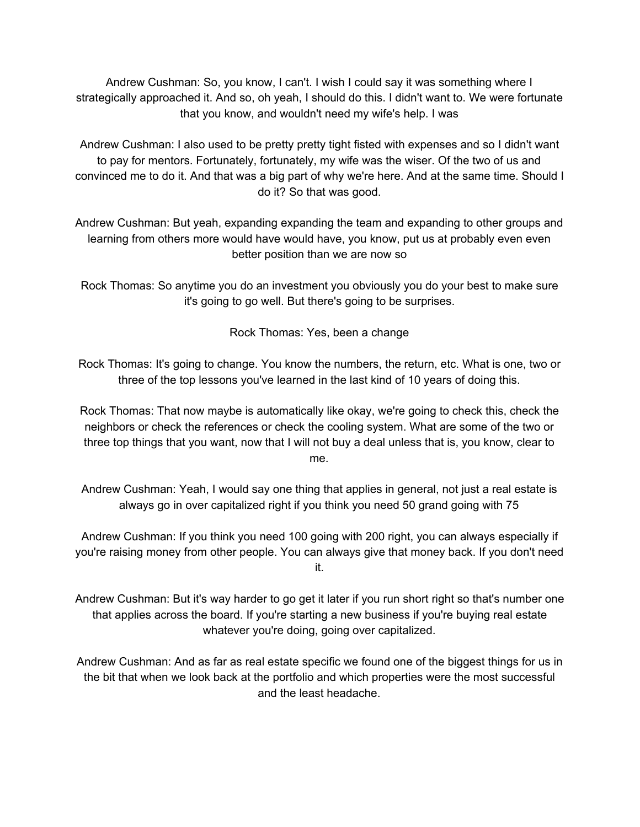Andrew Cushman: So, you know, I can't. I wish I could say it was something where I strategically approached it. And so, oh yeah, I should do this. I didn't want to. We were fortunate that you know, and wouldn't need my wife's help. I was

Andrew Cushman: I also used to be pretty pretty tight fisted with expenses and so I didn't want to pay for mentors. Fortunately, fortunately, my wife was the wiser. Of the two of us and convinced me to do it. And that was a big part of why we're here. And at the same time. Should I do it? So that was good.

Andrew Cushman: But yeah, expanding expanding the team and expanding to other groups and learning from others more would have would have, you know, put us at probably even even better position than we are now so

Rock Thomas: So anytime you do an investment you obviously you do your best to make sure it's going to go well. But there's going to be surprises.

Rock Thomas: Yes, been a change

Rock Thomas: It's going to change. You know the numbers, the return, etc. What is one, two or three of the top lessons you've learned in the last kind of 10 years of doing this.

Rock Thomas: That now maybe is automatically like okay, we're going to check this, check the neighbors or check the references or check the cooling system. What are some of the two or three top things that you want, now that I will not buy a deal unless that is, you know, clear to me.

Andrew Cushman: Yeah, I would say one thing that applies in general, not just a real estate is always go in over capitalized right if you think you need 50 grand going with 75

Andrew Cushman: If you think you need 100 going with 200 right, you can always especially if you're raising money from other people. You can always give that money back. If you don't need it.

Andrew Cushman: But it's way harder to go get it later if you run short right so that's number one that applies across the board. If you're starting a new business if you're buying real estate whatever you're doing, going over capitalized.

Andrew Cushman: And as far as real estate specific we found one of the biggest things for us in the bit that when we look back at the portfolio and which properties were the most successful and the least headache.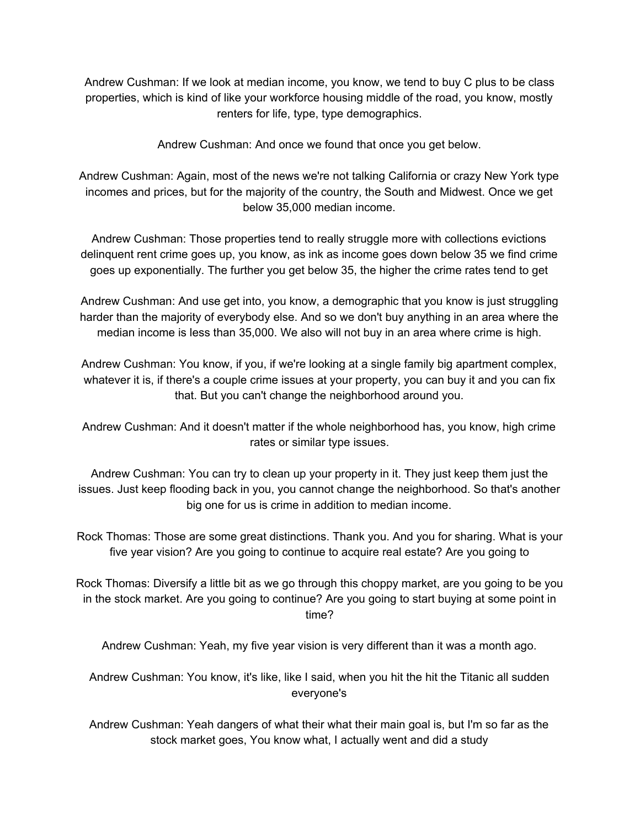Andrew Cushman: If we look at median income, you know, we tend to buy C plus to be class properties, which is kind of like your workforce housing middle of the road, you know, mostly renters for life, type, type demographics.

Andrew Cushman: And once we found that once you get below.

Andrew Cushman: Again, most of the news we're not talking California or crazy New York type incomes and prices, but for the majority of the country, the South and Midwest. Once we get below 35,000 median income.

Andrew Cushman: Those properties tend to really struggle more with collections evictions delinquent rent crime goes up, you know, as ink as income goes down below 35 we find crime goes up exponentially. The further you get below 35, the higher the crime rates tend to get

Andrew Cushman: And use get into, you know, a demographic that you know is just struggling harder than the majority of everybody else. And so we don't buy anything in an area where the median income is less than 35,000. We also will not buy in an area where crime is high.

Andrew Cushman: You know, if you, if we're looking at a single family big apartment complex, whatever it is, if there's a couple crime issues at your property, you can buy it and you can fix that. But you can't change the neighborhood around you.

Andrew Cushman: And it doesn't matter if the whole neighborhood has, you know, high crime rates or similar type issues.

Andrew Cushman: You can try to clean up your property in it. They just keep them just the issues. Just keep flooding back in you, you cannot change the neighborhood. So that's another big one for us is crime in addition to median income.

Rock Thomas: Those are some great distinctions. Thank you. And you for sharing. What is your five year vision? Are you going to continue to acquire real estate? Are you going to

Rock Thomas: Diversify a little bit as we go through this choppy market, are you going to be you in the stock market. Are you going to continue? Are you going to start buying at some point in time?

Andrew Cushman: Yeah, my five year vision is very different than it was a month ago.

Andrew Cushman: You know, it's like, like I said, when you hit the hit the Titanic all sudden everyone's

Andrew Cushman: Yeah dangers of what their what their main goal is, but I'm so far as the stock market goes, You know what, I actually went and did a study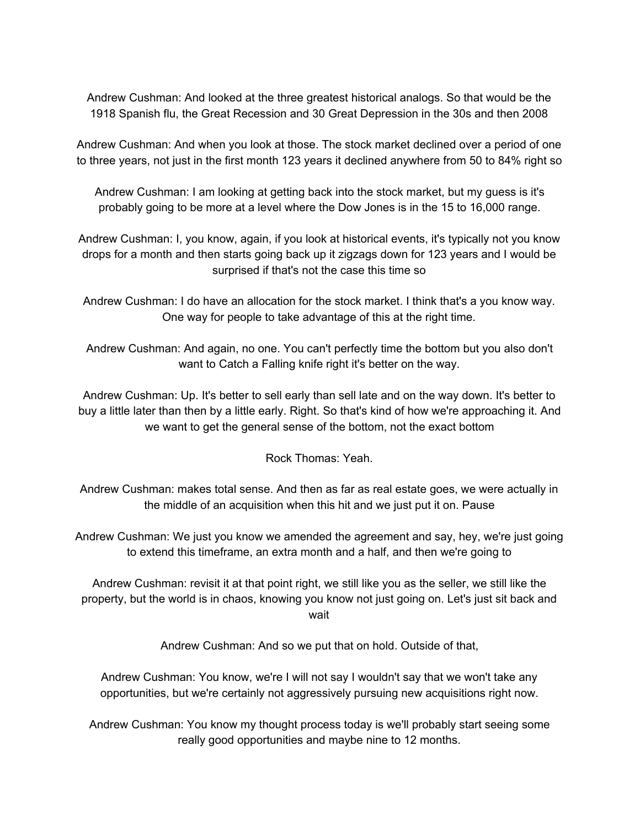Andrew Cushman: And looked at the three greatest historical analogs. So that would be the 1918 Spanish flu, the Great Recession and 30 Great Depression in the 30s and then 2008

Andrew Cushman: And when you look at those. The stock market declined over a period of one to three years, not just in the first month 123 years it declined anywhere from 50 to 84% right so

Andrew Cushman: I am looking at getting back into the stock market, but my guess is it's probably going to be more at a level where the Dow Jones is in the 15 to 16,000 range.

Andrew Cushman: I, you know, again, if you look at historical events, it's typically not you know drops for a month and then starts going back up it zigzags down for 123 years and I would be surprised if that's not the case this time so

Andrew Cushman: I do have an allocation for the stock market. I think that's a you know way. One way for people to take advantage of this at the right time.

Andrew Cushman: And again, no one. You can't perfectly time the bottom but you also don't want to Catch a Falling knife right it's better on the way.

Andrew Cushman: Up. It's better to sell early than sell late and on the way down. It's better to buy a little later than then by a little early. Right. So that's kind of how we're approaching it. And we want to get the general sense of the bottom, not the exact bottom

Rock Thomas: Yeah.

Andrew Cushman: makes total sense. And then as far as real estate goes, we were actually in the middle of an acquisition when this hit and we just put it on. Pause

Andrew Cushman: We just you know we amended the agreement and say, hey, we're just going to extend this timeframe, an extra month and a half, and then we're going to

Andrew Cushman: revisit it at that point right, we still like you as the seller, we still like the property, but the world is in chaos, knowing you know not just going on. Let's just sit back and wait

Andrew Cushman: And so we put that on hold. Outside of that,

Andrew Cushman: You know, we're I will not say I wouldn't say that we won't take any opportunities, but we're certainly not aggressively pursuing new acquisitions right now.

Andrew Cushman: You know my thought process today is we'll probably start seeing some really good opportunities and maybe nine to 12 months.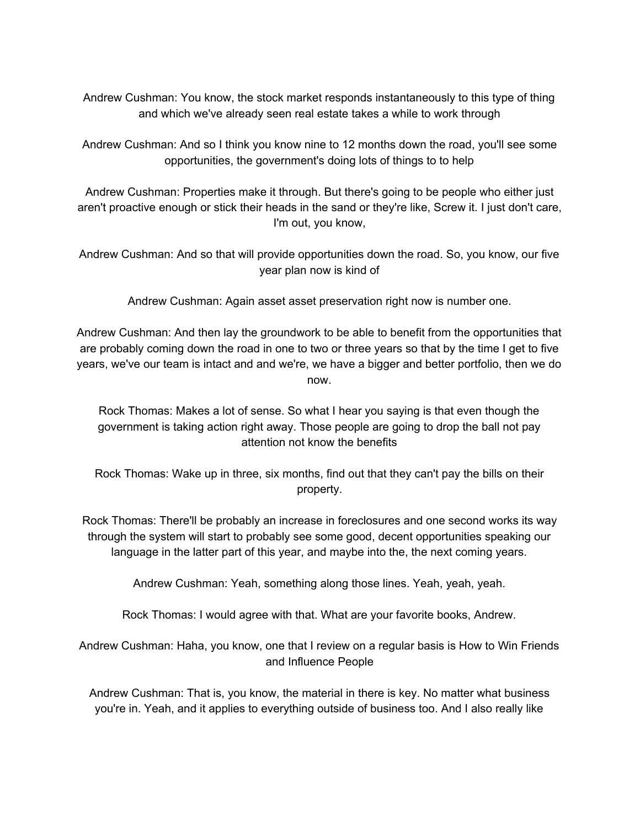Andrew Cushman: You know, the stock market responds instantaneously to this type of thing and which we've already seen real estate takes a while to work through

Andrew Cushman: And so I think you know nine to 12 months down the road, you'll see some opportunities, the government's doing lots of things to to help

Andrew Cushman: Properties make it through. But there's going to be people who either just aren't proactive enough or stick their heads in the sand or they're like, Screw it. I just don't care, I'm out, you know,

Andrew Cushman: And so that will provide opportunities down the road. So, you know, our five year plan now is kind of

Andrew Cushman: Again asset asset preservation right now is number one.

Andrew Cushman: And then lay the groundwork to be able to benefit from the opportunities that are probably coming down the road in one to two or three years so that by the time I get to five years, we've our team is intact and and we're, we have a bigger and better portfolio, then we do now.

Rock Thomas: Makes a lot of sense. So what I hear you saying is that even though the government is taking action right away. Those people are going to drop the ball not pay attention not know the benefits

Rock Thomas: Wake up in three, six months, find out that they can't pay the bills on their property.

Rock Thomas: There'll be probably an increase in foreclosures and one second works its way through the system will start to probably see some good, decent opportunities speaking our language in the latter part of this year, and maybe into the, the next coming years.

Andrew Cushman: Yeah, something along those lines. Yeah, yeah, yeah.

Rock Thomas: I would agree with that. What are your favorite books, Andrew.

Andrew Cushman: Haha, you know, one that I review on a regular basis is How to Win Friends and Influence People

Andrew Cushman: That is, you know, the material in there is key. No matter what business you're in. Yeah, and it applies to everything outside of business too. And I also really like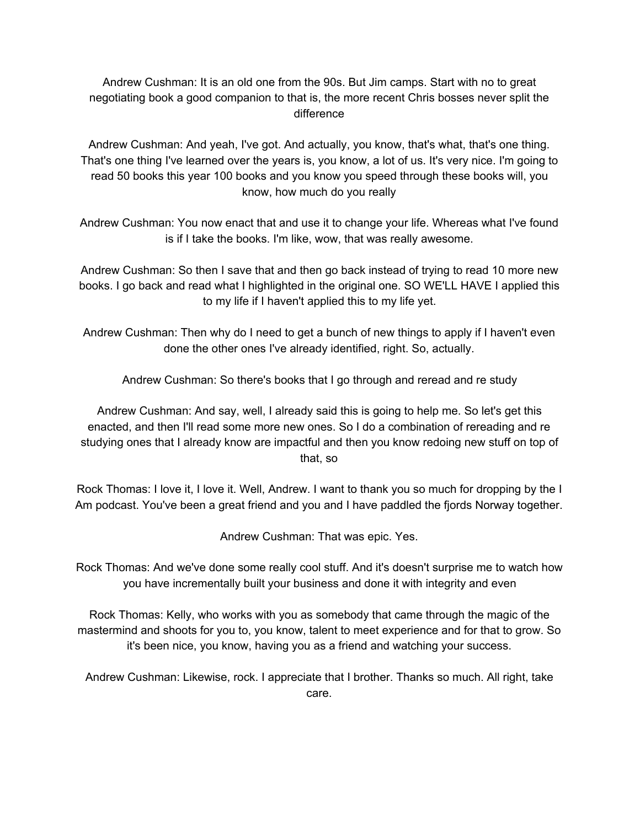Andrew Cushman: It is an old one from the 90s. But Jim camps. Start with no to great negotiating book a good companion to that is, the more recent Chris bosses never split the difference

Andrew Cushman: And yeah, I've got. And actually, you know, that's what, that's one thing. That's one thing I've learned over the years is, you know, a lot of us. It's very nice. I'm going to read 50 books this year 100 books and you know you speed through these books will, you know, how much do you really

Andrew Cushman: You now enact that and use it to change your life. Whereas what I've found is if I take the books. I'm like, wow, that was really awesome.

Andrew Cushman: So then I save that and then go back instead of trying to read 10 more new books. I go back and read what I highlighted in the original one. SO WE'LL HAVE I applied this to my life if I haven't applied this to my life yet.

Andrew Cushman: Then why do I need to get a bunch of new things to apply if I haven't even done the other ones I've already identified, right. So, actually.

Andrew Cushman: So there's books that I go through and reread and re study

Andrew Cushman: And say, well, I already said this is going to help me. So let's get this enacted, and then I'll read some more new ones. So I do a combination of rereading and re studying ones that I already know are impactful and then you know redoing new stuff on top of that, so

Rock Thomas: I love it, I love it. Well, Andrew. I want to thank you so much for dropping by the I Am podcast. You've been a great friend and you and I have paddled the fjords Norway together.

Andrew Cushman: That was epic. Yes.

Rock Thomas: And we've done some really cool stuff. And it's doesn't surprise me to watch how you have incrementally built your business and done it with integrity and even

Rock Thomas: Kelly, who works with you as somebody that came through the magic of the mastermind and shoots for you to, you know, talent to meet experience and for that to grow. So it's been nice, you know, having you as a friend and watching your success.

Andrew Cushman: Likewise, rock. I appreciate that I brother. Thanks so much. All right, take care.